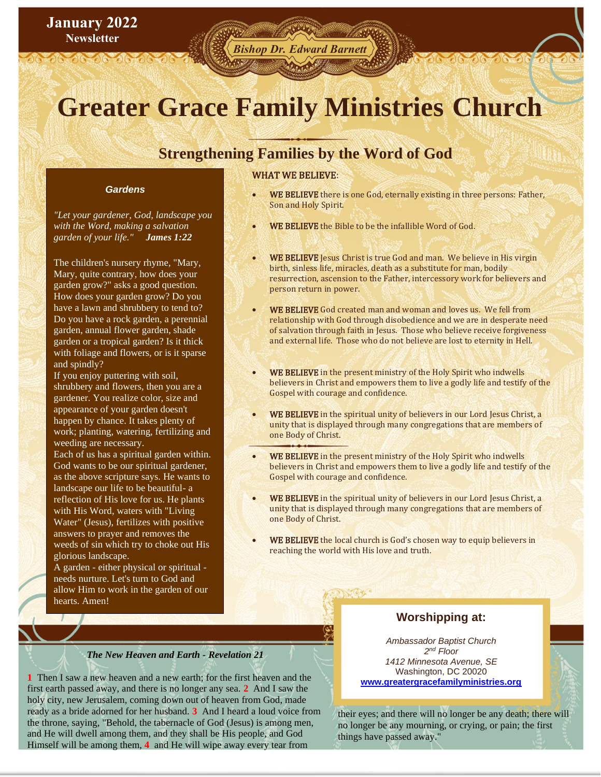## **January 2022 Newsletter**

# *Bishop Dr. Edward Barnett*

# **Greater Grace Family Ministries Church**

# **Chause Strengthening Families by the Word of God**

#### *Gardens*

*"Let your gardener, God, landscape you with the Word, making a salvation garden of your life." James 1:22* 

The children's nursery rhyme, "Mary, Mary, quite contrary, how does your garden grow?" asks a good question. How does your garden grow? Do you have a lawn and shrubbery to tend to? Do you have a rock garden, a perennial garden, annual flower garden, shade garden or a tropical garden? Is it thick with foliage and flowers, or is it sparse and spindly?

If you enjoy puttering with soil, shrubbery and flowers, then you are a gardener. You realize color, size and appearance of your garden doesn't happen by chance. It takes plenty of work; planting, watering, fertilizing and weeding are necessary.

Each of us has a spiritual garden within. God wants to be our spiritual gardener, as the above scripture says. He wants to landscape our life to be beautiful- a reflection of His love for us. He plants with His Word, waters with "Living Water" (Jesus), fertilizes with positive answers to prayer and removes the weeds of sin which try to choke out His glorious landscape.

A garden - either physical or spiritual needs nurture. Let's turn to God and allow Him to work in the garden of our hearts. Amen!

#### WHAT WE BELIEVE:

- WE BELIEVE there is one God, eternally existing in three persons: Father, Son and Holy Spirit.
- WE BELIEVE the Bible to be the infallible Word of God.
- WE BELIEVE Jesus Christ is true God and man. We believe in His virgin birth, sinless life, miracles, death as a substitute for man, bodily resurrection, ascension to the Father, intercessory work for believers and person return in power.
- WE BELIEVE God created man and woman and loves us. We fell from relationship with God through disobedience and we are in desperate need of salvation through faith in Jesus. Those who believe receive forgiveness and external life. Those who do not believe are lost to eternity in Hell.
- WE BELIEVE in the present ministry of the Holy Spirit who indwells believers in Christ and empowers them to live a godly life and testify of the Gospel with courage and confidence.
- WE BELIEVE in the spiritual unity of believers in our Lord Jesus Christ, a unity that is displayed through many congregations that are members of one Body of Christ.
- WE BELIEVE in the present ministry of the Holy Spirit who indwells believers in Christ and empowers them to live a godly life and testify of the Gospel with courage and confidence.
- WE BELIEVE in the spiritual unity of believers in our Lord Jesus Christ, a unity that is displayed through many congregations that are members of one Body of Christ.
- WE BELIEVE the local church is God's chosen way to equip believers in reaching the world with His love and truth.

 $X67.$ 

### **Worshipping at:**

*Ambassador Baptist Church 2 nd Floor 1412 Minnesota Avenue, SE* Washington, DC 20020 **[www.greatergracefamilyministries.org](about:blank)**

their eyes; and there will no longer be any death; there will no longer be any mourning, or crying, or pain; the first things have passed away."



### *The New Heaven and Earth - Revelation 21*

**1** Then I saw a new heaven and a new earth; for the first heaven and the first earth passed away, and there is no longer any sea. **2** And I saw the holy city, new Jerusalem, coming down out of heaven from God, made ready as a bride adorned for her husband. **3** And I heard a loud voice from the throne, saying, "Behold, the tabernacle of God (Jesus) is among men, and He will dwell among them, and they shall be His people, and God Himself will be among them, **4** and He will wipe away every tear from